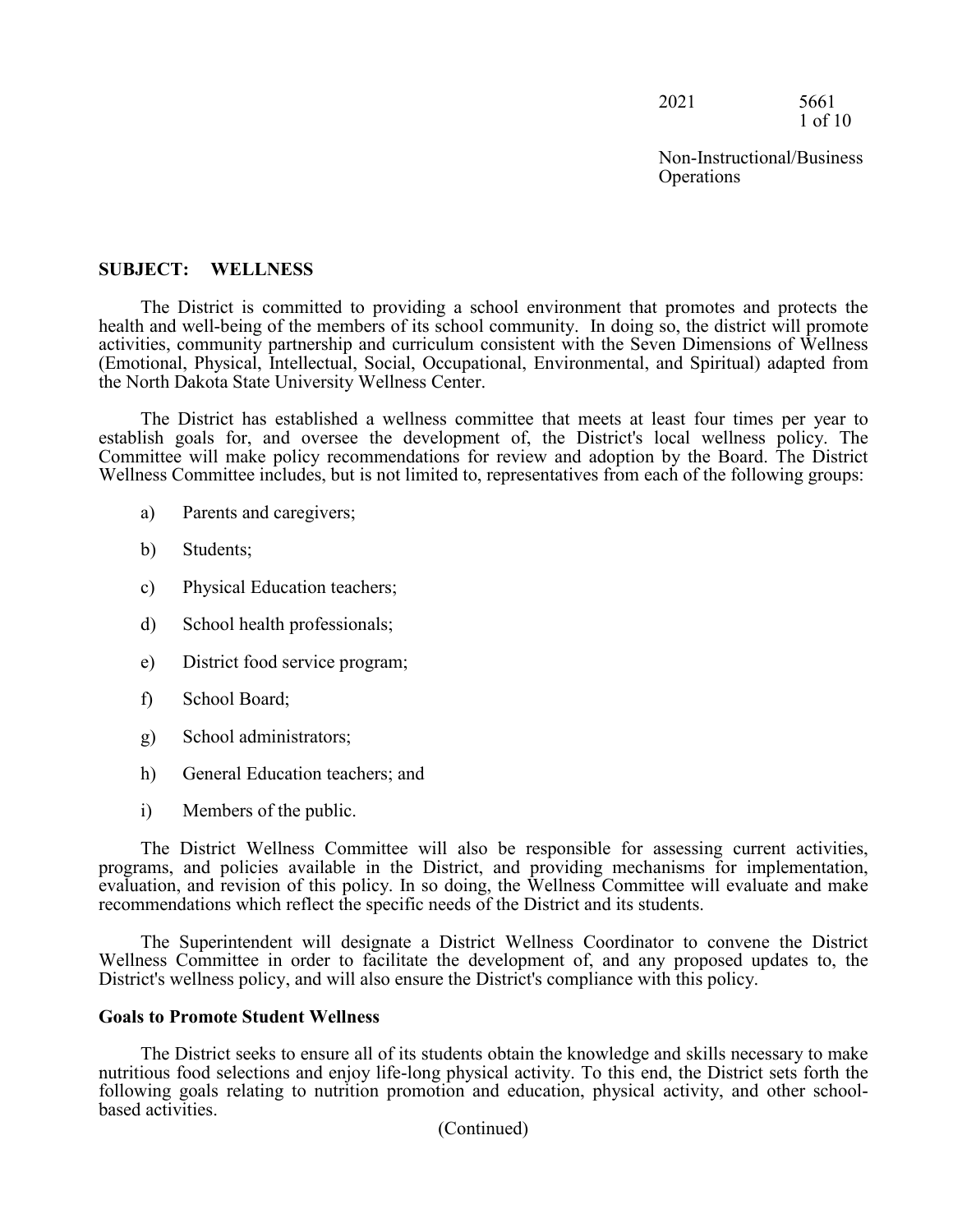2021 5661 1 of 10

Non-Instructional/Business **Operations** 

## **SUBJECT: WELLNESS**

The District is committed to providing a school environment that promotes and protects the health and well-being of the members of its school community. In doing so, the district will promote activities, community partnership and curriculum consistent with the Seven Dimensions of Wellness (Emotional, Physical, Intellectual, Social, Occupational, Environmental, and Spiritual) adapted from the North Dakota State University Wellness Center.

The District has established a wellness committee that meets at least four times per year to establish goals for, and oversee the development of, the District's local wellness policy. The Committee will make policy recommendations for review and adoption by the Board. The District Wellness Committee includes, but is not limited to, representatives from each of the following groups:

- a) Parents and caregivers;
- b) Students;
- c) Physical Education teachers;
- d) School health professionals;
- e) District food service program;
- f) School Board;
- g) School administrators;
- h) General Education teachers; and
- i) Members of the public.

The District Wellness Committee will also be responsible for assessing current activities, programs, and policies available in the District, and providing mechanisms for implementation, evaluation, and revision of this policy. In so doing, the Wellness Committee will evaluate and make recommendations which reflect the specific needs of the District and its students.

The Superintendent will designate a District Wellness Coordinator to convene the District Wellness Committee in order to facilitate the development of, and any proposed updates to, the District's wellness policy, and will also ensure the District's compliance with this policy.

#### **Goals to Promote Student Wellness**

The District seeks to ensure all of its students obtain the knowledge and skills necessary to make nutritious food selections and enjoy life-long physical activity. To this end, the District sets forth the following goals relating to nutrition promotion and education, physical activity, and other school-<br>based activities.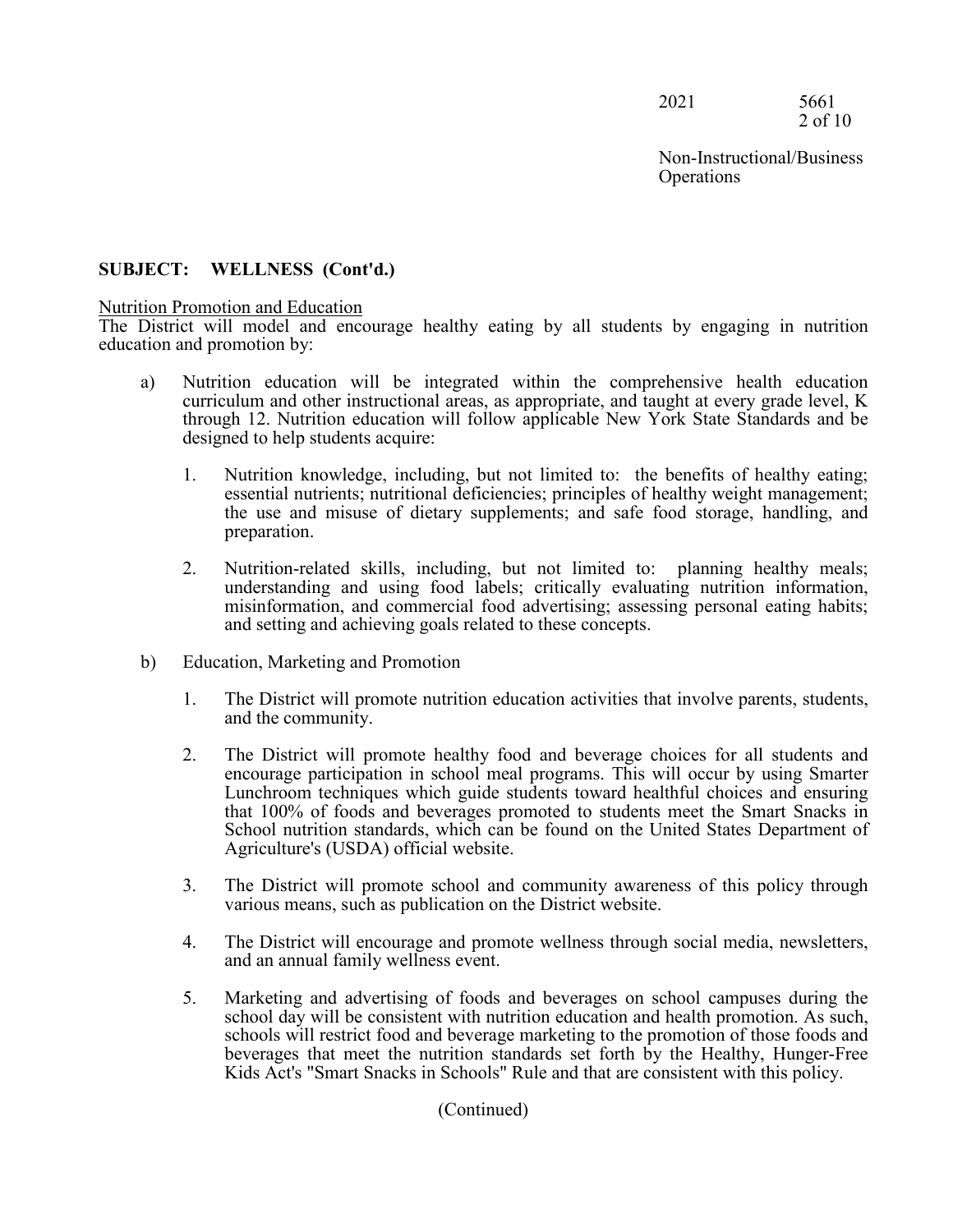2021 5661 2 of 10

Non-Instructional/Business **Operations** 

## **SUBJECT: WELLNESS (Cont'd.)**

#### Nutrition Promotion and Education

The District will model and encourage healthy eating by all students by engaging in nutrition education and promotion by:

- a) Nutrition education will be integrated within the comprehensive health education curriculum and other instructional areas, as appropriate, and taught at every grade level, K through 12. Nutrition education will follow applicable New York State Standards and be designed to help students acquire:
	- 1. Nutrition knowledge, including, but not limited to: the benefits of healthy eating; essential nutrients; nutritional deficiencies; principles of healthy weight management; the use and misuse of dietary supplements; and safe food storage, handling, and preparation.
	- 2. Nutrition-related skills, including, but not limited to: planning healthy meals; understanding and using food labels; critically evaluating nutrition information, misinformation, and commercial food advertising; assessing personal eating habits; and setting and achieving goals related to these concepts.
- b) Education, Marketing and Promotion
	- 1. The District will promote nutrition education activities that involve parents, students, and the community.
	- 2. The District will promote healthy food and beverage choices for all students and encourage participation in school meal programs. This will occur by using Smarter Lunchroom techniques which guide students toward healthful choices and ensuring that 100% of foods and beverages promoted to students meet the Smart Snacks in School nutrition standards, which can be found on the United States Department of Agriculture's (USDA) official website.
	- 3. The District will promote school and community awareness of this policy through various means, such as publication on the District website.
	- 4. The District will encourage and promote wellness through social media, newsletters, and an annual family wellness event.
	- 5. Marketing and advertising of foods and beverages on school campuses during the school day will be consistent with nutrition education and health promotion. As such, schools will restrict food and beverage marketing to the promotion of those foods and beverages that meet the nutrition standards set forth by the Healthy, Hunger-Free Kids Act's "Smart Snacks in Schools" Rule and that are consistent with this policy.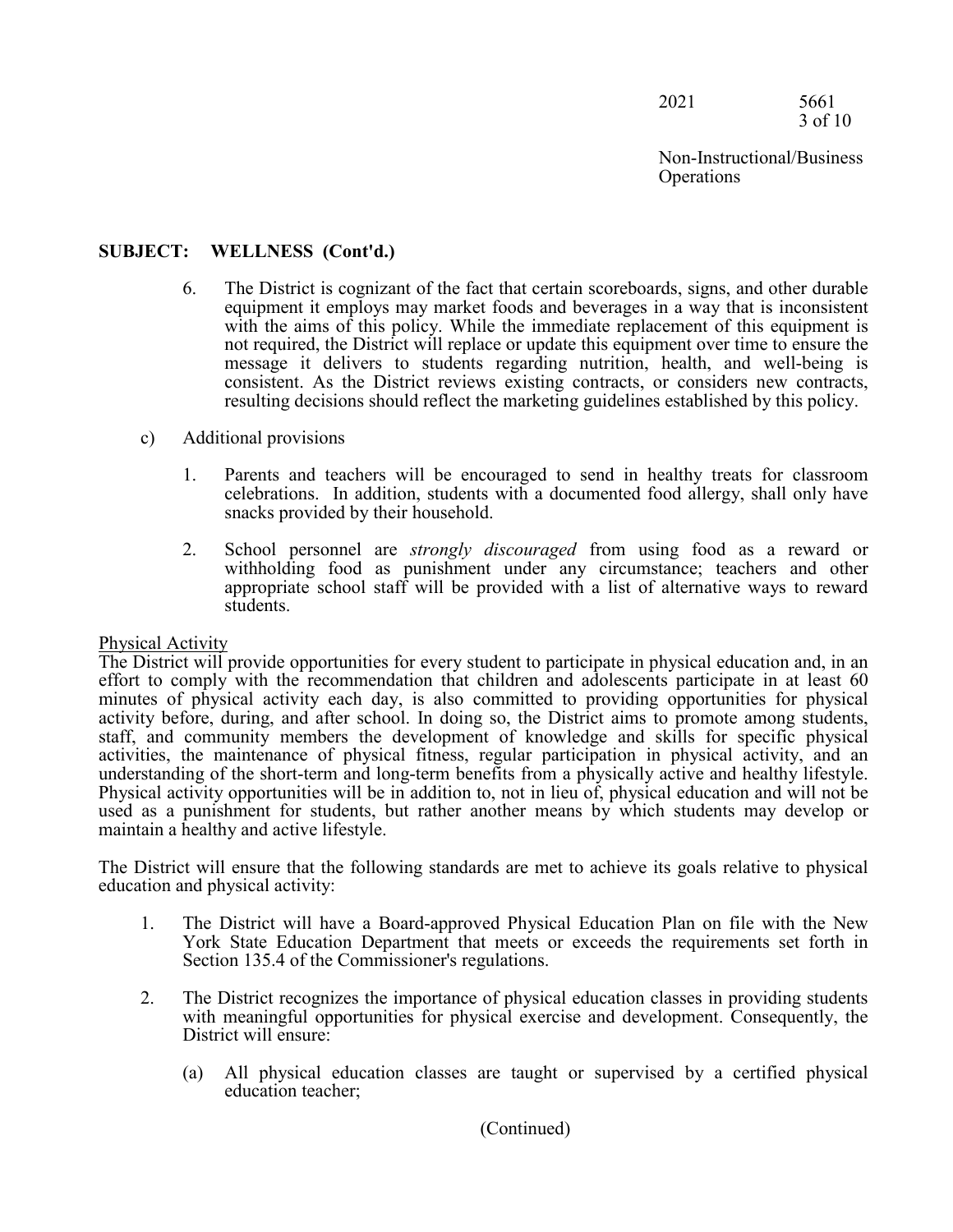2021 5661 3 of 10

Non-Instructional/Business **Operations** 

# **SUBJECT: WELLNESS (Cont'd.)**

- 6. The District is cognizant of the fact that certain scoreboards, signs, and other durable equipment it employs may market foods and beverages in a way that is inconsistent with the aims of this policy. While the immediate replacement of this equipment is not required, the District will replace or update this equipment over time to ensure the message it delivers to students regarding nutrition, health, and well-being is consistent. As the District reviews existing contracts, or considers new contracts, resulting decisions should reflect the marketing guidelines established by this policy.
- c) Additional provisions
	- 1. Parents and teachers will be encouraged to send in healthy treats for classroom celebrations. In addition, students with a documented food allergy, shall only have snacks provided by their household.
	- 2. School personnel are *strongly discouraged* from using food as a reward or withholding food as punishment under any circumstance; teachers and other appropriate school staff will be provided with a list of alternative ways to reward students.

#### Physical Activity

The District will provide opportunities for every student to participate in physical education and, in an effort to comply with the recommendation that children and adolescents participate in at least 60 minutes of physical activity each day, is also committed to providing opportunities for physical activity before, during, and after school. In doing so, the District aims to promote among students, staff, and community members the development of knowledge and skills for specific physical activities, the maintenance of physical fitness, regular participation in physical activity, and an understanding of the short-term and long-term benefits from a physically active and healthy lifestyle. Physical activity opportunities will be in addition to, not in lieu of, physical education and will not be used as a punishment for students, but rather another means by which students may develop or maintain a healthy and active lifestyle.

The District will ensure that the following standards are met to achieve its goals relative to physical education and physical activity:

- 1. The District will have a Board-approved Physical Education Plan on file with the New York State Education Department that meets or exceeds the requirements set forth in Section 135.4 of the Commissioner's regulations.
- 2. The District recognizes the importance of physical education classes in providing students with meaningful opportunities for physical exercise and development. Consequently, the District will ensure:
	- (a) All physical education classes are taught or supervised by a certified physical education teacher;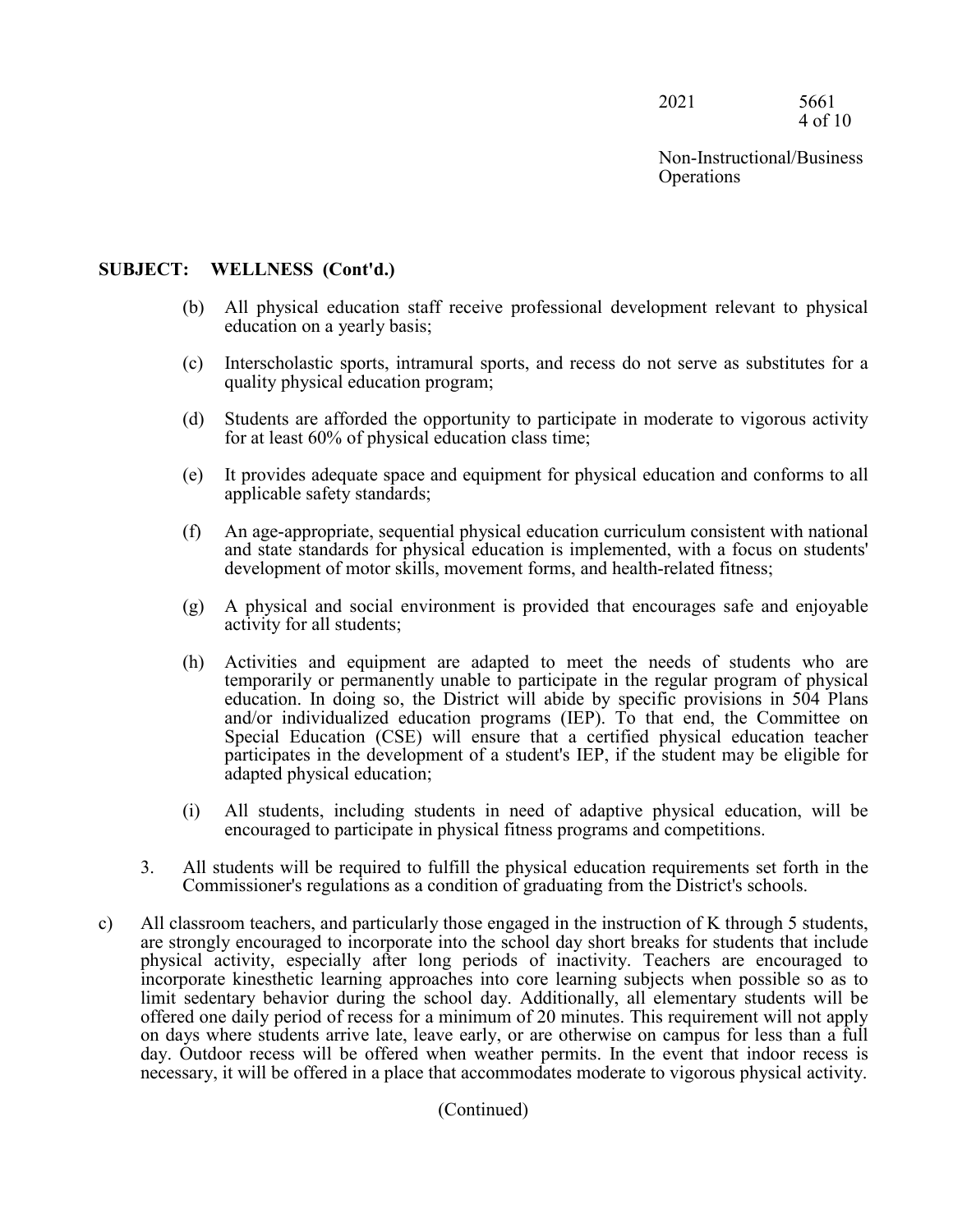2021 5661 4 of 10

Non-Instructional/Business **Operations** 

## **SUBJECT: WELLNESS (Cont'd.)**

- (b) All physical education staff receive professional development relevant to physical education on a yearly basis;
- (c) Interscholastic sports, intramural sports, and recess do not serve as substitutes for a quality physical education program;
- (d) Students are afforded the opportunity to participate in moderate to vigorous activity for at least 60% of physical education class time;
- (e) It provides adequate space and equipment for physical education and conforms to all applicable safety standards;
- (f) An age-appropriate, sequential physical education curriculum consistent with national and state standards for physical education is implemented, with a focus on students' development of motor skills, movement forms, and health-related fitness;
- (g) A physical and social environment is provided that encourages safe and enjoyable activity for all students;
- (h) Activities and equipment are adapted to meet the needs of students who are temporarily or permanently unable to participate in the regular program of physical education. In doing so, the District will abide by specific provisions in 504 Plans and/or individualized education programs (IEP). To that end, the Committee on Special Education (CSE) will ensure that a certified physical education teacher participates in the development of a student's IEP, if the student may be eligible for adapted physical education;
- (i) All students, including students in need of adaptive physical education, will be encouraged to participate in physical fitness programs and competitions.
- 3. All students will be required to fulfill the physical education requirements set forth in the Commissioner's regulations as a condition of graduating from the District's schools.
- c) All classroom teachers, and particularly those engaged in the instruction of K through 5 students, are strongly encouraged to incorporate into the school day short breaks for students that include physical activity, especially after long periods of inactivity. Teachers are encouraged to incorporate kinesthetic learning approaches into core learning subjects when possible so as to limit sedentary behavior during the school day. Additionally, all elementary students will be offered one daily period of recess for a minimum of 20 minutes. This requirement will not apply on days where students arrive late, leave early, or are otherwise on campus for less than a full day. Outdoor recess will be offered when weather permits. In the event that indoor recess is necessary, it will be offered in a place that accommodates moderate to vigorous physical activity.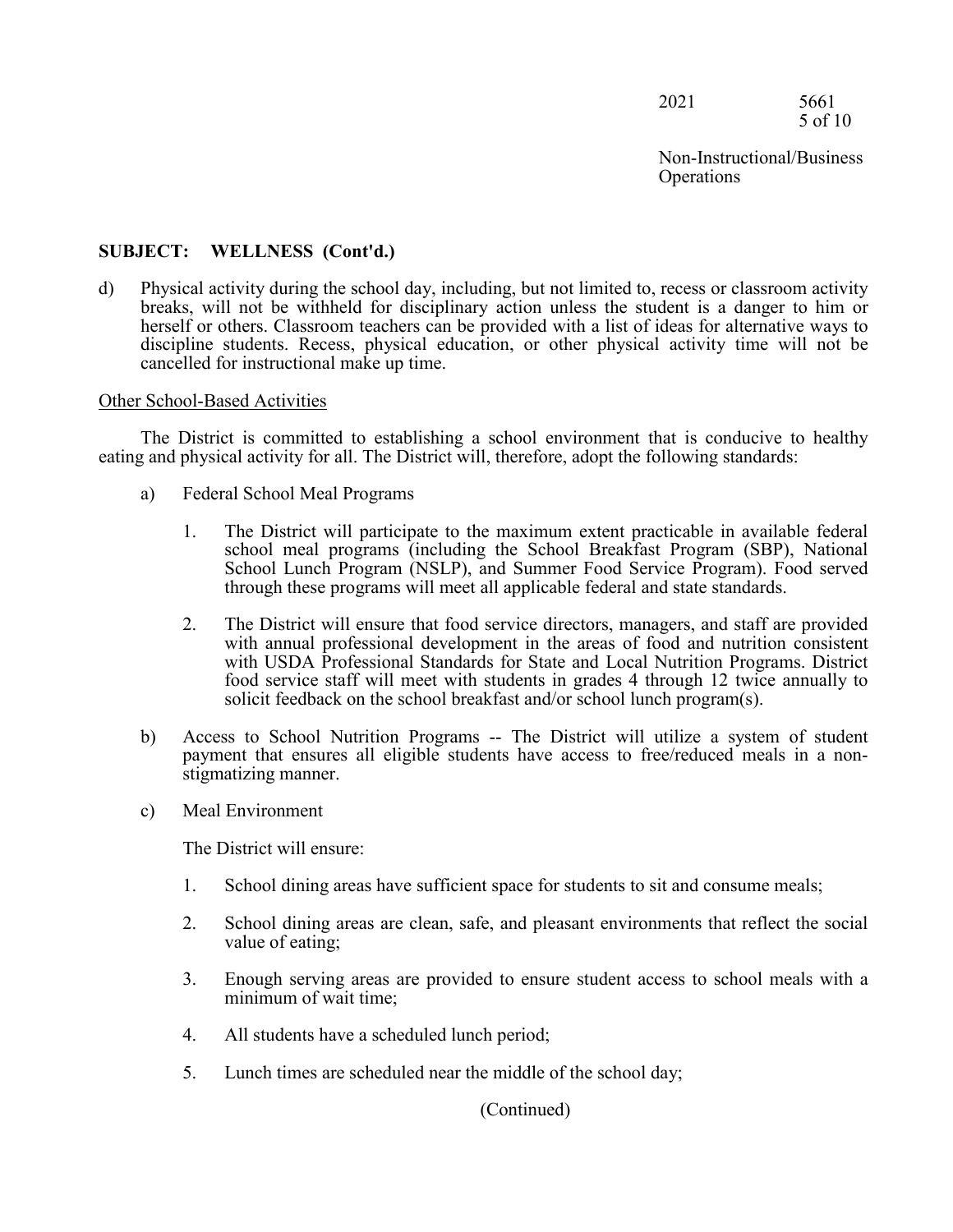2021 5661 5 of 10

Non-Instructional/Business **Operations** 

## **SUBJECT: WELLNESS (Cont'd.)**

d) Physical activity during the school day, including, but not limited to, recess or classroom activity breaks, will not be withheld for disciplinary action unless the student is a danger to him or herself or others. Classroom teachers can be provided with a list of ideas for alternative ways to discipline students. Recess, physical education, or other physical activity time will not be cancelled for instructional make up time.

#### Other School-Based Activities

The District is committed to establishing a school environment that is conducive to healthy eating and physical activity for all. The District will, therefore, adopt the following standards:

- a) Federal School Meal Programs
	- 1. The District will participate to the maximum extent practicable in available federal school meal programs (including the School Breakfast Program (SBP), National School Lunch Program (NSLP), and Summer Food Service Program). Food served through these programs will meet all applicable federal and state standards.
	- 2. The District will ensure that food service directors, managers, and staff are provided with annual professional development in the areas of food and nutrition consistent with USDA Professional Standards for State and Local Nutrition Programs. District food service staff will meet with students in grades 4 through 12 twice annually to solicit feedback on the school breakfast and/or school lunch program(s).
- b) Access to School Nutrition Programs -- The District will utilize a system of student payment that ensures all eligible students have access to free/reduced meals in a nonstigmatizing manner.
- c) Meal Environment

The District will ensure:

- 1. School dining areas have sufficient space for students to sit and consume meals;
- 2. School dining areas are clean, safe, and pleasant environments that reflect the social value of eating;
- 3. Enough serving areas are provided to ensure student access to school meals with a minimum of wait time;
- 4. All students have a scheduled lunch period;
- 5. Lunch times are scheduled near the middle of the school day;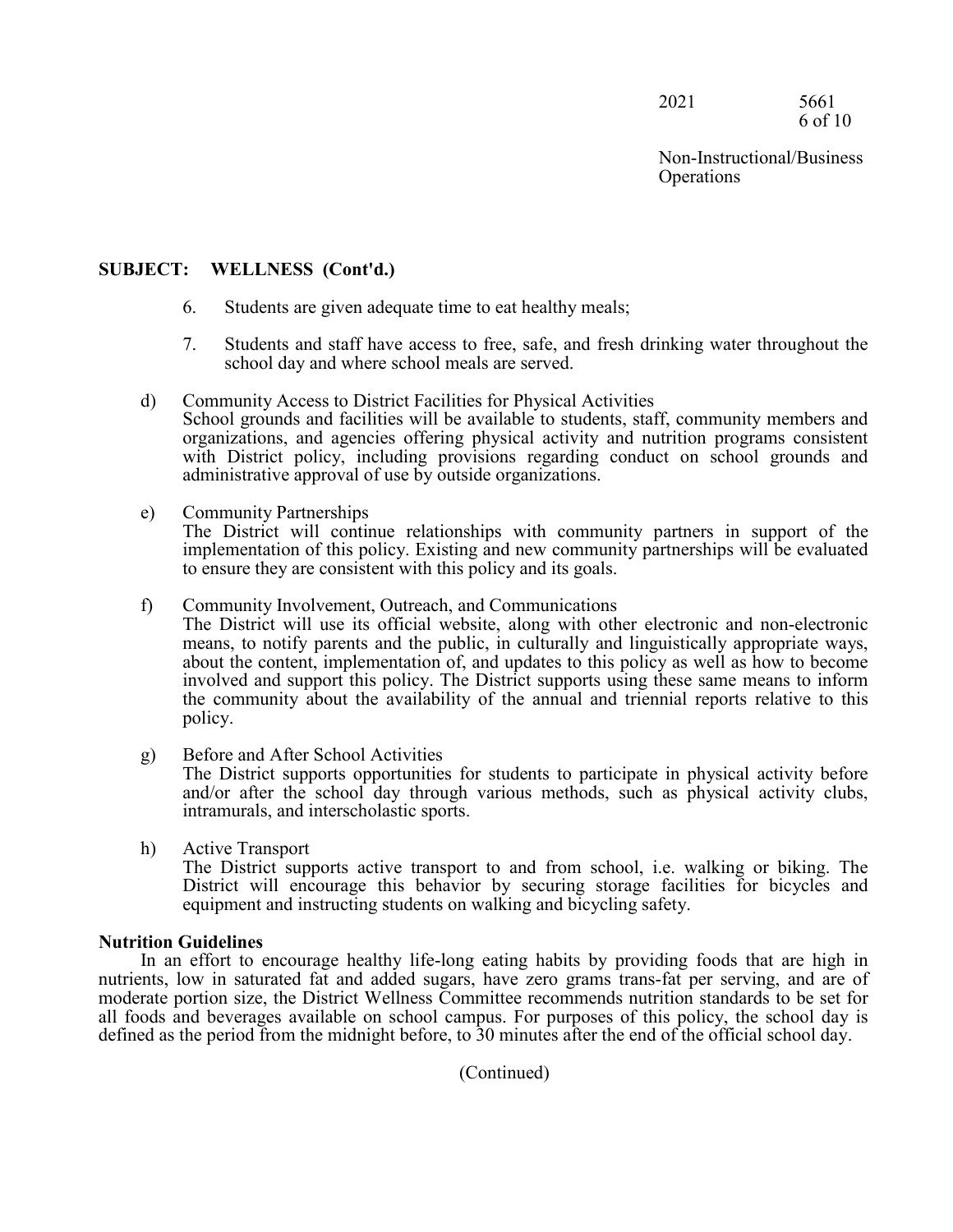2021 5661 6 of 10

Non-Instructional/Business **Operations** 

## **SUBJECT: WELLNESS (Cont'd.)**

- 6. Students are given adequate time to eat healthy meals;
- 7. Students and staff have access to free, safe, and fresh drinking water throughout the school day and where school meals are served.

# d) Community Access to District Facilities for Physical Activities

School grounds and facilities will be available to students, staff, community members and organizations, and agencies offering physical activity and nutrition programs consistent with District policy, including provisions regarding conduct on school grounds and administrative approval of use by outside organizations.

e) Community Partnerships

The District will continue relationships with community partners in support of the implementation of this policy. Existing and new community partnerships will be evaluated to ensure they are consistent with this policy and its goals.

f) Community Involvement, Outreach, and Communications

The District will use its official website, along with other electronic and non-electronic means, to notify parents and the public, in culturally and linguistically appropriate ways, about the content, implementation of, and updates to this policy as well as how to become involved and support this policy. The District supports using these same means to inform the community about the availability of the annual and triennial reports relative to this policy.

g) Before and After School Activities

The District supports opportunities for students to participate in physical activity before and/or after the school day through various methods, such as physical activity clubs, intramurals, and interscholastic sports.

h) Active Transport

The District supports active transport to and from school, i.e. walking or biking. The District will encourage this behavior by securing storage facilities for bicycles and equipment and instructing students on walking and bicycling safety.

## **Nutrition Guidelines**

In an effort to encourage healthy life-long eating habits by providing foods that are high in nutrients, low in saturated fat and added sugars, have zero grams trans-fat per serving, and are of moderate portion size, the District Wellness Committee recommends nutrition standards to be set for all foods and beverages available on school campus. For purposes of this policy, the school day is defined as the period from the midnight before, to 30 minutes after the end of the official school day.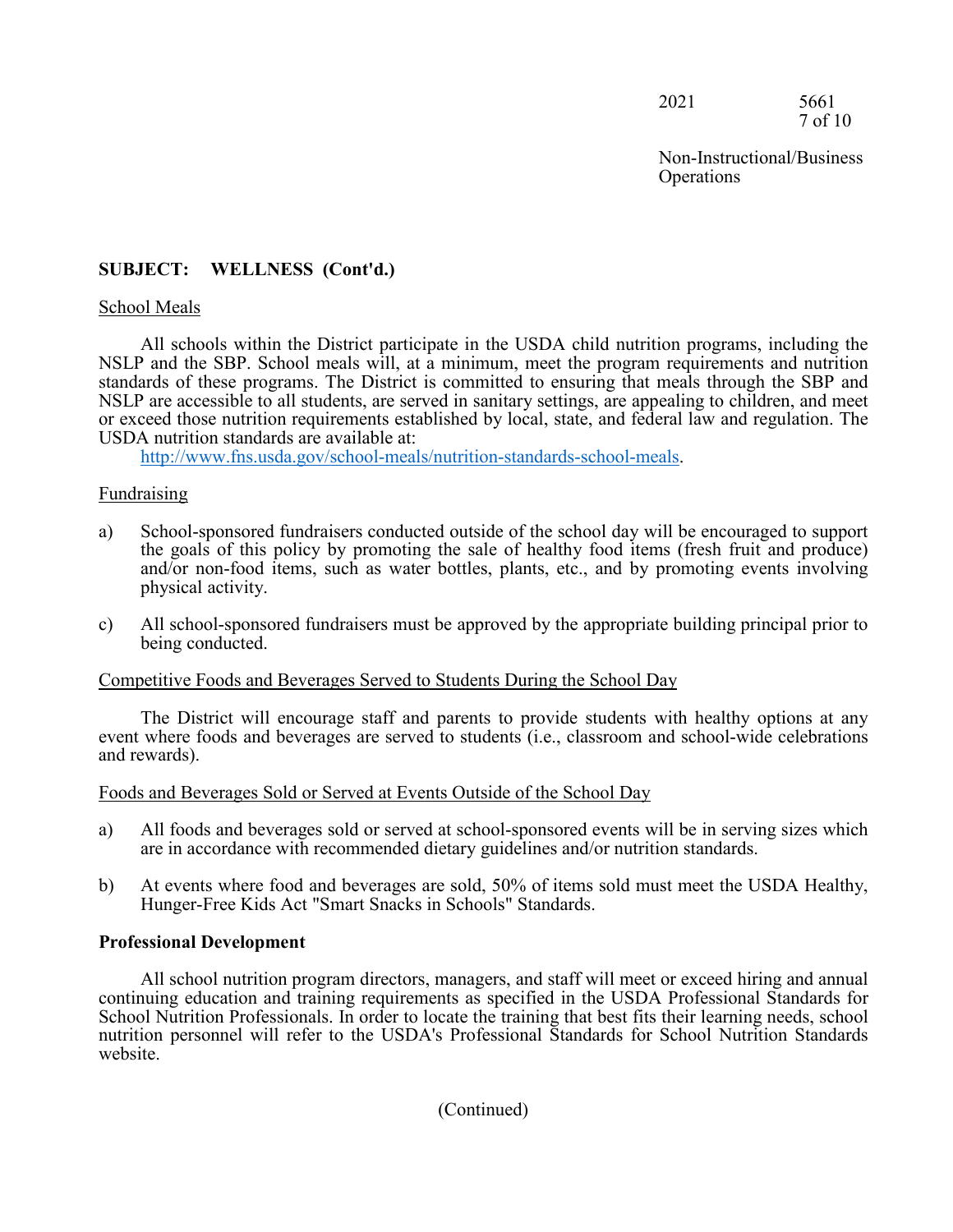2021 5661 7 of 10

Non-Instructional/Business **Operations** 

## **SUBJECT: WELLNESS (Cont'd.)**

#### School Meals

All schools within the District participate in the USDA child nutrition programs, including the NSLP and the SBP. School meals will, at a minimum, meet the program requirements and nutrition standards of these programs. The District is committed to ensuring that meals through the SBP and NSLP are accessible to all students, are served in sanitary settings, are appealing to children, and meet or exceed those nutrition requirements established by local, state, and federal law and regulation. The USDA nutrition standards are available at:

http://www.fns.usda.gov/school-meals/nutrition-standards-school-meals.

#### Fundraising

- a) School-sponsored fundraisers conducted outside of the school day will be encouraged to support the goals of this policy by promoting the sale of healthy food items (fresh fruit and produce) and/or non-food items, such as water bottles, plants, etc., and by promoting events involving physical activity.
- c) All school-sponsored fundraisers must be approved by the appropriate building principal prior to being conducted.

#### Competitive Foods and Beverages Served to Students During the School Day

The District will encourage staff and parents to provide students with healthy options at any event where foods and beverages are served to students (i.e., classroom and school-wide celebrations and rewards).

#### Foods and Beverages Sold or Served at Events Outside of the School Day

- a) All foods and beverages sold or served at school-sponsored events will be in serving sizes which are in accordance with recommended dietary guidelines and/or nutrition standards.
- b) At events where food and beverages are sold, 50% of items sold must meet the USDA Healthy, Hunger-Free Kids Act "Smart Snacks in Schools" Standards.

#### **Professional Development**

All school nutrition program directors, managers, and staff will meet or exceed hiring and annual continuing education and training requirements as specified in the USDA Professional Standards for School Nutrition Professionals. In order to locate the training that best fits their learning needs, school nutrition personnel will refer to the USDA's Professional Standards for School Nutrition Standards website.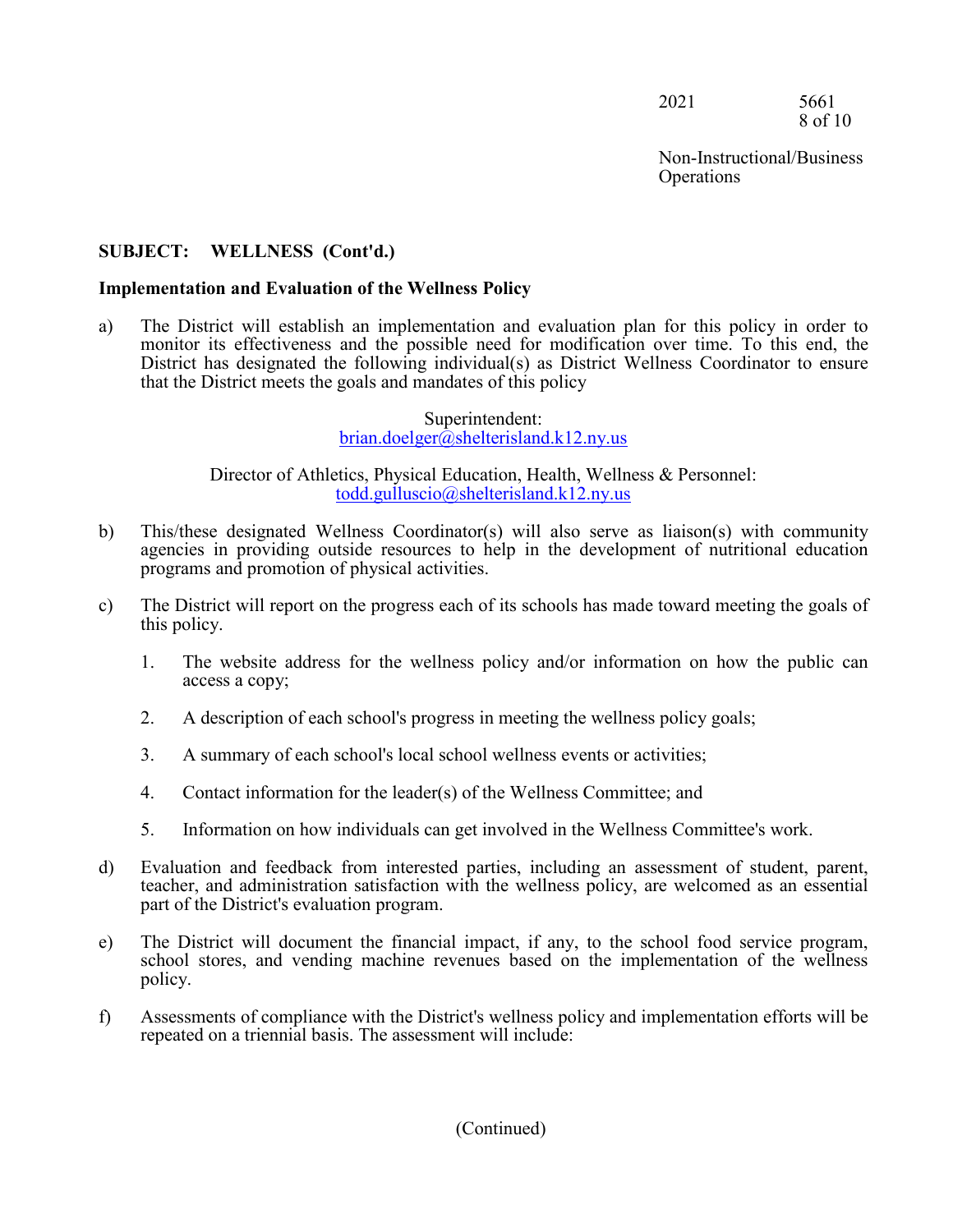2021 5661 8 of 10

# **SUBJECT: WELLNESS (Cont'd.)**

### **Implementation and Evaluation of the Wellness Policy**

a) The District will establish an implementation and evaluation plan for this policy in order to monitor its effectiveness and the possible need for modification over time. To this end, the District has designated the following individual(s) as District Wellness Coordinator to ensure that the District meets the goals and mandates of this policy

> Superintendent: brian.doelger@shelterisland.k12.ny.us

Director of Athletics, Physical Education, Health, Wellness & Personnel: todd.gulluscio@shelterisland.k12.ny.us

- b) This/these designated Wellness Coordinator(s) will also serve as liaison(s) with community agencies in providing outside resources to help in the development of nutritional education programs and promotion of physical activities.
- c) The District will report on the progress each of its schools has made toward meeting the goals of this policy.
	- 1. The website address for the wellness policy and/or information on how the public can access a copy;
	- 2. A description of each school's progress in meeting the wellness policy goals;
	- 3. A summary of each school's local school wellness events or activities;
	- 4. Contact information for the leader(s) of the Wellness Committee; and
	- 5. Information on how individuals can get involved in the Wellness Committee's work.
- d) Evaluation and feedback from interested parties, including an assessment of student, parent, teacher, and administration satisfaction with the wellness policy, are welcomed as an essential part of the District's evaluation program.
- e) The District will document the financial impact, if any, to the school food service program, school stores, and vending machine revenues based on the implementation of the wellness policy.
- f) Assessments of compliance with the District's wellness policy and implementation efforts will be repeated on a triennial basis. The assessment will include: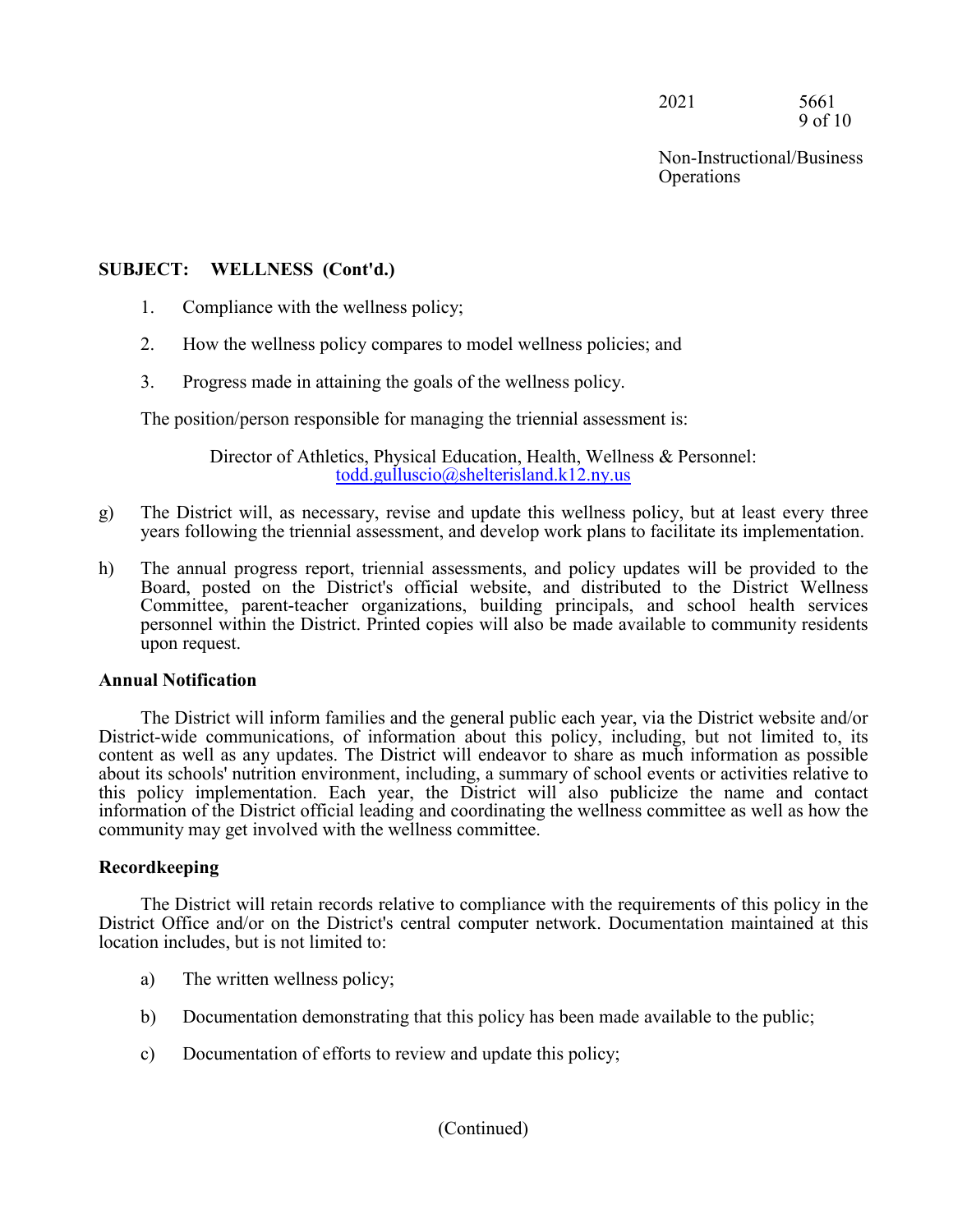2021 5661 9 of 10

Non-Instructional/Business **Operations** 

## **SUBJECT: WELLNESS (Cont'd.)**

- 1. Compliance with the wellness policy;
- 2. How the wellness policy compares to model wellness policies; and
- 3. Progress made in attaining the goals of the wellness policy.

The position/person responsible for managing the triennial assessment is:

Director of Athletics, Physical Education, Health, Wellness & Personnel: todd.gulluscio@shelterisland.k12.ny.us

- g) The District will, as necessary, revise and update this wellness policy, but at least every three years following the triennial assessment, and develop work plans to facilitate its implementation.
- h) The annual progress report, triennial assessments, and policy updates will be provided to the Board, posted on the District's official website, and distributed to the District Wellness Committee, parent-teacher organizations, building principals, and school health services personnel within the District. Printed copies will also be made available to community residents upon request.

#### **Annual Notification**

The District will inform families and the general public each year, via the District website and/or District-wide communications, of information about this policy, including, but not limited to, its content as well as any updates. The District will endeavor to share as much information as possible about its schools' nutrition environment, including, a summary of school events or activities relative to this policy implementation. Each year, the District will also publicize the name and contact information of the District official leading and coordinating the wellness committee as well as how the community may get involved with the wellness committee.

#### **Recordkeeping**

The District will retain records relative to compliance with the requirements of this policy in the District Office and/or on the District's central computer network. Documentation maintained at this location includes, but is not limited to:

- a) The written wellness policy;
- b) Documentation demonstrating that this policy has been made available to the public;
- c) Documentation of efforts to review and update this policy;